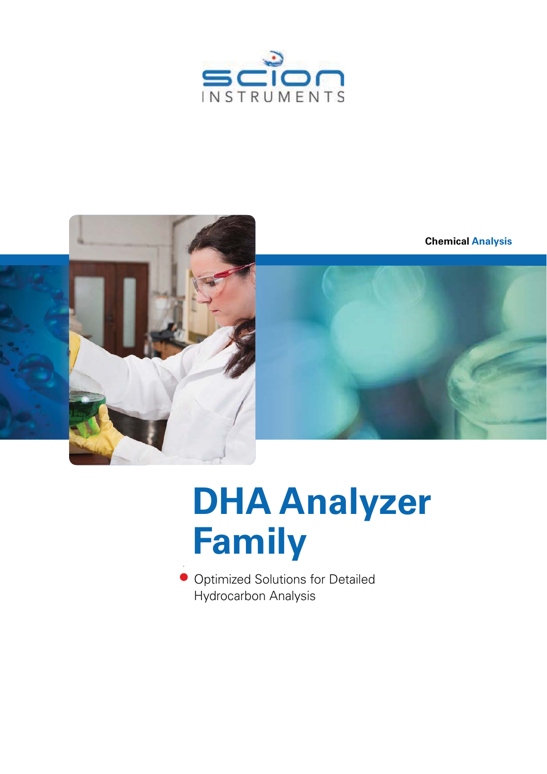



# **DHA Analyzer DHA Analyzer Family Family**

**Optimized Solutions for Detailed** Hydrocarbon Analysis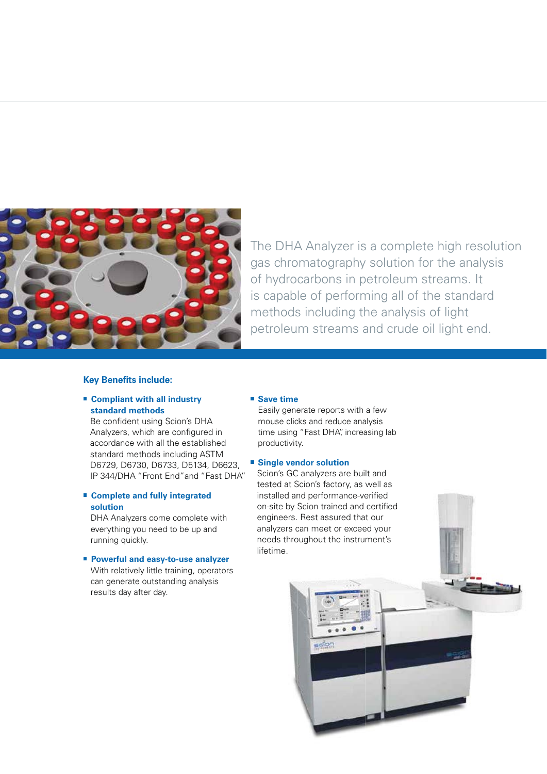

The DHA Analyzer is a complete high resolution gas chromatography solution for the analysis of hydrocarbons in petroleum streams. It is capable of performing all of the standard methods including the analysis of light petroleum streams and crude oil light end.

#### **Key Benefits include:**

### **Compliant with all industry standard methods**

Be confident using Scion's DHA Analyzers, which are configured in Analyzers, which are configured in accordance with all the established accordance with all the established standard methods including ASTM standard methods including ASTM D6729, D6730, D6733, D5134, D6623, D6729, D6730, D6733, D5134, D6623, IP 344/DHA "Front End"and "Fast DHA". IP 344/DHA "Front End"and "Fast DHA" Scion's GC analyzers are built and

### **Complete and fully integrated solution**

DHA Analyzers come complete with everything you need to be up and running quickly.

### ■ Powerful and easy-to-use analyzer

With relatively little training, operators can generate outstanding analysis results day after day.

### ■ Save time

Easily generate reports with a few mouse clicks and reduce analysis time using "Fast DHA", increasing lab productivity.

### **Single vendor solution**

Scion's GC analyzers are built and tested at Scion's factory, as well as installed and performance-verified installed and performance-verified on-site by Scion trained and certified engineers. Rest assured that our analyzers can meet or exceed your engineers. Rest assured that our<br>analyzers can meet or exceed your<br>needs throughout the instrument's lifetime. lifetime.

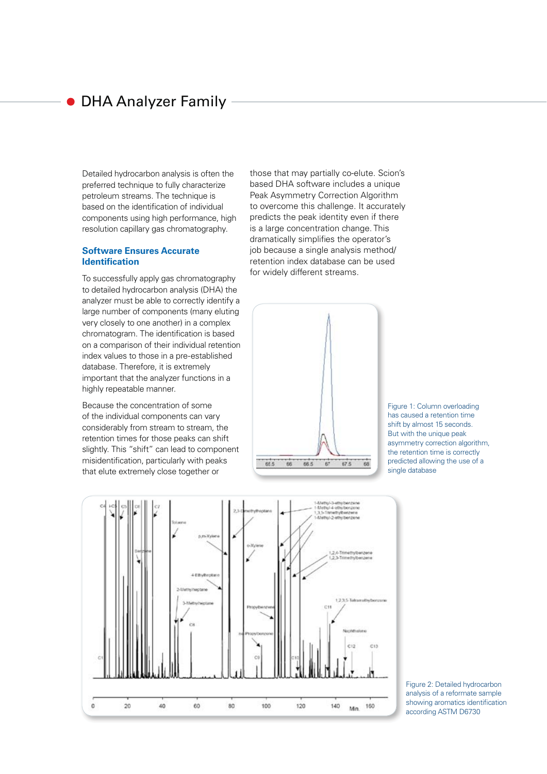### DHA Analyzer Family

Detailed hydrocarbon analysis is often the preferred technique to fully characterize petroleum streams. The technique is based on the identification of individual components using high performance, high resolution capillary gas chromatography.

### **Software Ensures Accurate Identification**

To successfully apply gas chromatography to detailed hydrocarbon analysis (DHA) the analyzer must be able to correctly identify a large number of components (many eluting very closely to one another) in a complex chromatogram. The identification is based on a comparison of their individual retention index values to those in a pre-established database. Therefore, it is extremely important that the analyzer functions in a highly repeatable manner.

Because the concentration of some of the individual components can vary considerably from stream to stream, the retention times for those peaks can shift slightly. This "shift" can lead to component misidentification, particularly with peaks that elute extremely close together or

those that may partially co-elute. Scion's based DHA software includes a unique based DHA software includes a unique Peak Asymmetry Correction Algorithm Peak Asymmetry Correction Algorithm to overcome this challenge. It accurately to overcome this challenge. It accurately predicts the peak identity even if there predicts the peak identity even if there is a large concentration change. This dramatically simplifies the operator's job because a single analysis method/ retention index database can be used for widely different streams.



Figure 1: Column overloading has caused a retention time shift by almost 15 seconds. But with the unique peak asymmetry correction algorithm, the retention time is correctly predicted allowing the use of a single database



Figure 2: Detailed hydrocarbon analysis of a reformate sample showing aromatics identification according ASTM D6730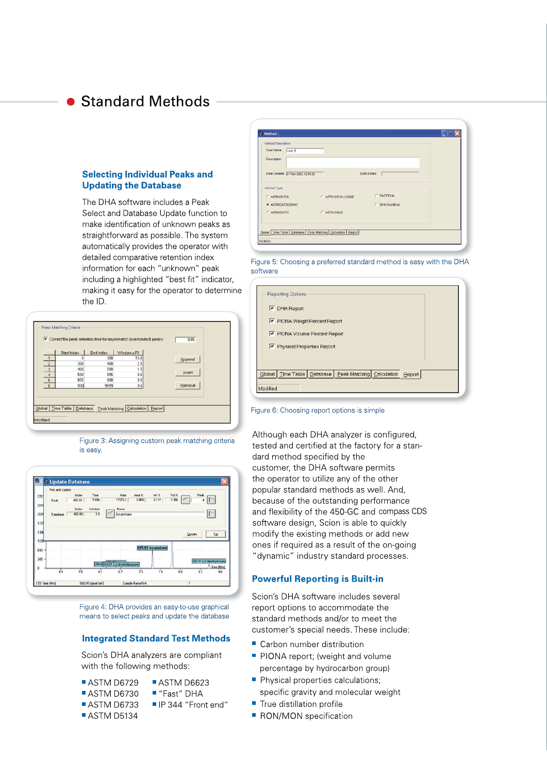### **Standard Methods**

### **Selecting Individual Peaks and Updating the Database**

The DHA software includes a Peak Select and Database Update function to make identification of unknown peaks as straightforward as possible. The system automatically provides the operator with detailed comparative retention index information for each "unknown" peak including a highlighted "best fit" indicator, making it easy for the operator to determine the ID.

|                         | Start Index | End Index | Window ± RI |        |
|-------------------------|-------------|-----------|-------------|--------|
| $\mathbf{1}$            |             | 300       | 15.0        | Append |
| $\overline{2}$          | 300         | 400       | 2.5         |        |
| $\overline{\mathbf{3}}$ | 400         | 500       | 1.5         |        |
| $\overline{4}$          | 500         | 855       | 0.6         | Insert |
| $\overline{5}$          | 855         | 900       | 0.5         |        |
| 6                       | 900         | 9999      | 0.6         | Bemove |
|                         |             |           |             |        |

Figure 3: Assigning custom peak matching criteria is easy.



Figure 4: DHA provides an easy-to-use graphical means to select peaks and update the database

### **Integrated Standard Test Methods**

Scion's DHA analyzers are compliant with the following methods:

- ASTM D6729
	- ASTM D6623 ■ "Fast" DHA
- ASTM D6730 ASTM D6733 ■ IP 344 "Front end"
- ASTM D5134

ned 01 Nov 2007, 1216 29 Date Edited Method Tvp **EXSTRA** ASTM D6729 ASTM D5134 / CGSE ASTM DE730 DHA ASTM 0662 ASTMD6733 Global Time Table | Database | Peak Matching | Calculation | Beport

Figure 5: Choosing a preferred standard method is easy with the DHA software

| <b>V</b> DHA Report            |                           |        |  |
|--------------------------------|---------------------------|--------|--|
| PIONA Weight Percent Report    |                           |        |  |
| PIONA Volume Percent Report    |                           |        |  |
| Physical Properties Report     |                           |        |  |
|                                |                           |        |  |
| Global   Time Table   Database |                           |        |  |
|                                | Peak Matching Calculation | Report |  |

#### Figure 6: Choosing report options is simple

Although each DHA analyzer is configured, tested and certified at the factory for a standard method specified by the customer, the DHA software permits the operator to utilize any of the other popular standard methods as well. And, because of the outstanding performance and flexibility of the 450-GC and compass CDS software design, Scion is able to quickly modify the existing methods or add new ones if required as a result of the on-going "dynamic" industry standard processes.

### **Powerful Reporting is Built-in**

Scion's DHA software includes several report options to accommodate the standard methods and/or to meet the customer's special needs. These include:

- Carbon number distribution
- PIONA report; (weight and volume percentage by hydrocarbon group)
- Physical properties calculations;
- specific gravity and molecular weight
- True distillation profile
- RON/MON specification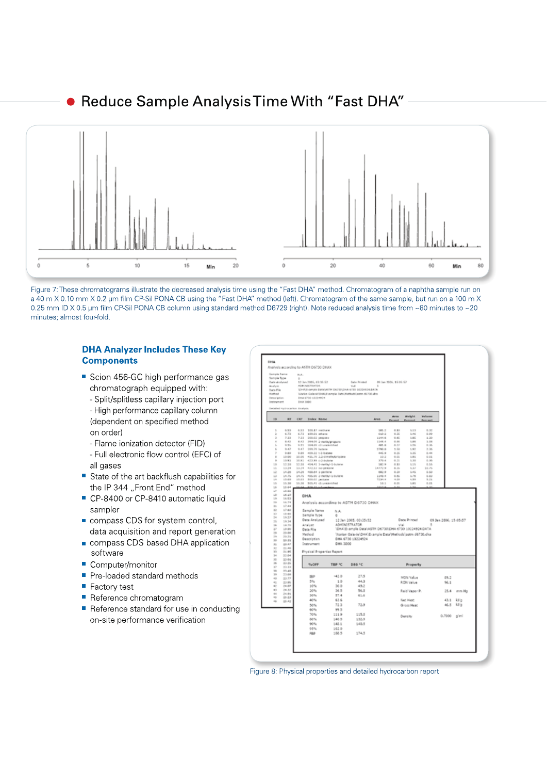### Reduce Sample Analysis Time With "Fast DHA"



Figure 7: These chromatograms illustrate the decreased analysis time using the "Fast DHA" method. Chromatogram of a naphtha sample run on a 40 m X 0.10 mm X 0.2 µm film CP-Sil PONA CB using the "Fast DHA" method (left). Chromatogram of the same sample, but run on a 100 m X 0.25 mm ID X 0.5 um film CP-Sil PONA CB column using standard method D6729 (right). Note reduced analysis time from ~80 minutes to ~20 minutes; almost four-fold.

### **DHA Analyzer Includes These Key Components**

- Scion 456-GC high performance gas chromatograph equipped with:
	- Split/splitless capillary injection port - High performance capillary column (dependent on specified method
	- on order) - Flame ionization detector (FID)
- Full electronic flow control (EFC) of all gases
- State of the art backflush capabilities for the IP 344 "Front End" method
- CP-8400 or CP-8410 automatic liquid sampler
- compass CDS for system control, data acquisition and report generation
- compass CDS based DHA application software
- Computer/monitor
- Pre-loaded standard methods
- $\blacksquare$  Factory test
- Reference chromatogram
- Reference standard for use in conducting on-site performance verification

| Sample Type                      | Sengle fame                                        | n.c.<br>$\sim$ |                                                                                   |                                       |                                                        |                  |                            |                   |                       |                       |                   |
|----------------------------------|----------------------------------------------------|----------------|-----------------------------------------------------------------------------------|---------------------------------------|--------------------------------------------------------|------------------|----------------------------|-------------------|-----------------------|-----------------------|-------------------|
| Amelyni                          | Oate Andysed                                       |                | 12. Jan 2005, 43:36:52<br>AGHENSTRATOR                                            |                                       | Date Printed<br>Total II                               | $\mathbf{u}$     | 09 Jan 2006, \$5.05:57     |                   |                       |                       |                   |
| <b>Data Rile</b>                 | (дникачение рапи) Агли реглозом егзо 18334834.EATA |                |                                                                                   |                                       |                                                        |                  |                            |                   |                       |                       |                   |
| Wathod<br>Description.           |                                                    |                | Warlon Galaxiel-DHAV& ample Data/Alettevial axtm dill'30 dra<br>DISA 6730 SECONDS |                                       |                                                        |                  |                            |                   |                       |                       |                   |
| <b>Instrument</b>                |                                                    | DRIA 3880      |                                                                                   |                                       |                                                        |                  |                            |                   |                       |                       |                   |
|                                  | Catalian systemation Analysis                      |                |                                                                                   |                                       |                                                        |                  |                            |                   |                       |                       |                   |
| <b>EES</b>                       | <b>WY</b>                                          | <b>CRT</b>     | Index Name                                                                        |                                       |                                                        | <b>Aven</b>      | Arres<br><b>COMMERCIAL</b> | Weight<br>Parceut | Wednesday<br>Personal |                       |                   |
|                                  | 6.53                                               |                |                                                                                   |                                       |                                                        |                  | 0.81                       | 3, 5, 2           | 0.35                  |                       |                   |
| $\mathbf{R}$<br>ż                | 6.73                                               | 6.72           | 6.53 100.17 methaw<br>199.01 ethane                                               |                                       |                                                        | 181.2<br>629.2   | 0.36                       | 3,46              | 0.39                  |                       |                   |
| $\rightarrow$                    | 7.33                                               | 7.32           | 300.03 precises                                                                   |                                       |                                                        | 1144.6           | 0.61                       | 3.85              | 3.20                  |                       |                   |
| $\pm$<br>×                       | 8.43<br>9.36                                       |                | 9.51 204.01 (3) unamentional                                                      | 8.42 294.01 2-moth/propers            |                                                        | 1145.6<br>481.9  | 0.04<br>0.33               | 1.84.<br>3.755    | 1.06<br>0.36          |                       |                   |
| ×.                               | 9.47                                               | 9.47           | 399,76 Indane                                                                     |                                       |                                                        | 2700.0           | 3.58                       | 1.92              | 2.36                  |                       |                   |
| y                                | 9.89                                               |                | 9.09 409.32 1-2-0 dlame                                                           |                                       |                                                        | 445.9            | 0.26                       | 3.25              | 0.44                  |                       |                   |
| $\overline{u}$<br>$\overline{a}$ | 10.00<br>10.83                                     |                | 10.81 412.89 (-2-bullete)                                                         | 10:00 NILPS 22-01/WWW.come            |                                                        | $-19-2$<br>379.4 | 9.51<br>0.31               | 3,014<br>3,30     | $4 - 24$<br>0.35      |                       |                   |
| tó                               |                                                    |                |                                                                                   | 12.18 12.59 454.41 3-methyl-1-butera- |                                                        | 182.9            | 0.33                       | $3.3\%$           | 0.56                  |                       |                   |
| i.<br>u                          | 1, 2, 3, 4<br>14.38                                |                | 11.24 N72.53 no persone<br>14.26 400.04 3 perfere                                 |                                       |                                                        | 14772.9<br>682.9 | 8.34<br>6.38               | 9.37<br>3.85      | 16.75<br>6.50         |                       |                   |
| 12                               | 14.76                                              |                |                                                                                   | 14.75 495.99 2-moth/-1-0utere         |                                                        | 1140.6           | 0.81                       | 3.74              | 0.82                  |                       |                   |
| $\sim$<br>UC.                    | 15.00<br>15.38                                     |                | 15.03 S00.07 percent<br>15.30 \$05.41 cS:unkitchfied                              |                                       |                                                        | RESK.R<br>10.3   | 4.01<br>46.476             | 1.51<br>3.01      | 5.21<br>0.01          |                       |                   |
| L6                               | 15.64                                              |                |                                                                                   |                                       |                                                        |                  |                            |                   |                       |                       |                   |
| LT.<br>1/6                       | 10.02<br>16.19                                     |                |                                                                                   |                                       |                                                        |                  |                            |                   |                       |                       |                   |
| 10                               | 16.53                                              |                | DHA                                                                               |                                       |                                                        |                  |                            |                   |                       |                       |                   |
| 200                              | 16.74                                              |                |                                                                                   |                                       | Analysis according to ASTM D6730 DHAX                  |                  |                            |                   |                       |                       |                   |
| $\overline{a}$<br>計              | 27.44<br>17.60                                     |                | Sample Name                                                                       |                                       |                                                        |                  |                            |                   |                       |                       |                   |
| 12                               | 14.66                                              |                | Sample Type                                                                       | N.A.<br>e.                            |                                                        |                  |                            |                   |                       |                       |                   |
| 34<br>$\frac{1}{2}$              | 19.27<br>19.34                                     |                | Date Analysed                                                                     |                                       | 12 Jan 2005, 03:35:52                                  |                  |                            | Date Printed      |                       | 09 Jan 2006, 15:05:57 |                   |
| is.                              | 14.70                                              |                | Analyst                                                                           |                                       | ADMINISTRATOR                                          |                  | Val                        |                   |                       |                       |                   |
| 22<br>$^{28}$                    | 19.90<br>20.00                                     |                | Data File                                                                         |                                       | 10HA1E-ample Data1ASTM DE7301DHA 6730 10224924 DATA    |                  |                            |                   |                       |                       |                   |
| $^{**}$                          | 20.21                                              |                | Method                                                                            |                                       | Warlan Galaxie DHA Example Data Methodziastm 66730.cha |                  |                            |                   |                       |                       |                   |
| 30<br>ää.                        | 20.35<br>20.47                                     |                | <b>Description</b><br>Instrument                                                  | <b>CHA 3000</b>                       | DHA 6730 10224524                                      |                  |                            |                   |                       |                       |                   |
| X2                               | 21.46                                              |                |                                                                                   |                                       |                                                        |                  |                            |                   |                       |                       |                   |
| 55<br>34                         | 21.95                                              |                |                                                                                   | Physical Properties Report            |                                                        |                  |                            |                   |                       |                       |                   |
| ×                                | 2.2 April<br>22.99                                 |                |                                                                                   |                                       |                                                        |                  |                            |                   |                       |                       |                   |
| 36<br>VF.                        | 23.26<br>23.30                                     |                | <b>NLOFF</b>                                                                      | TEP IC                                | DB6 <sup>1</sup> C                                     |                  |                            | Property          |                       |                       |                   |
| 56                               | 23.48                                              |                |                                                                                   |                                       |                                                        |                  |                            |                   |                       |                       |                   |
| 26                               | 23.68                                              |                | 18P                                                                               | $-42.0$                               | 27.5                                                   |                  |                            | MON Value         |                       | 89.2                  |                   |
| 40<br>41                         | 23.77<br>23.96                                     |                | 5%                                                                                | 10                                    | 44.5                                                   |                  |                            | <b>RON Value</b>  |                       | 96.1                  |                   |
| 42                               | 24.07                                              |                | 10%                                                                               | 30.0                                  | 49.7                                                   |                  |                            |                   |                       |                       |                   |
| K3<br>44                         | 24.32<br>24.91                                     |                | 20%                                                                               | 36.5                                  | 56.5                                                   |                  |                            | Reid Vapor P.     |                       | 15.4                  | mm Hg             |
| n,                               | 26.23                                              |                | 30%<br>40%                                                                        | 57.4<br>63.6                          | 61.4                                                   |                  |                            | Net Heat          |                       |                       |                   |
| 16                               | 26.42                                              |                | 50%                                                                               | 72.3                                  | 72.9                                                   |                  |                            | Gross Nead        |                       | 46.5                  | 43.1 kb/p<br>kt/p |
|                                  |                                                    |                | 60%                                                                               | 99.5                                  |                                                        |                  |                            |                   |                       |                       |                   |
|                                  |                                                    |                | 70%                                                                               | 1119                                  | 115.8                                                  |                  |                            | Density           |                       | 0.7300 g/ml           |                   |
|                                  |                                                    |                | 00%                                                                               | 140.5                                 | 132.9                                                  |                  |                            |                   |                       |                       |                   |
|                                  |                                                    |                | 90%                                                                               | 148.1                                 | 140.5                                                  |                  |                            |                   |                       |                       |                   |
|                                  |                                                    |                | 95%                                                                               | 162.0                                 |                                                        |                  |                            |                   |                       |                       |                   |
|                                  |                                                    |                | F8th                                                                              | 158.5                                 | 174.5                                                  |                  |                            |                   |                       |                       |                   |
|                                  |                                                    |                |                                                                                   |                                       |                                                        |                  |                            |                   |                       |                       |                   |

Figure 8: Physical properties and detailed hydrocarbon report